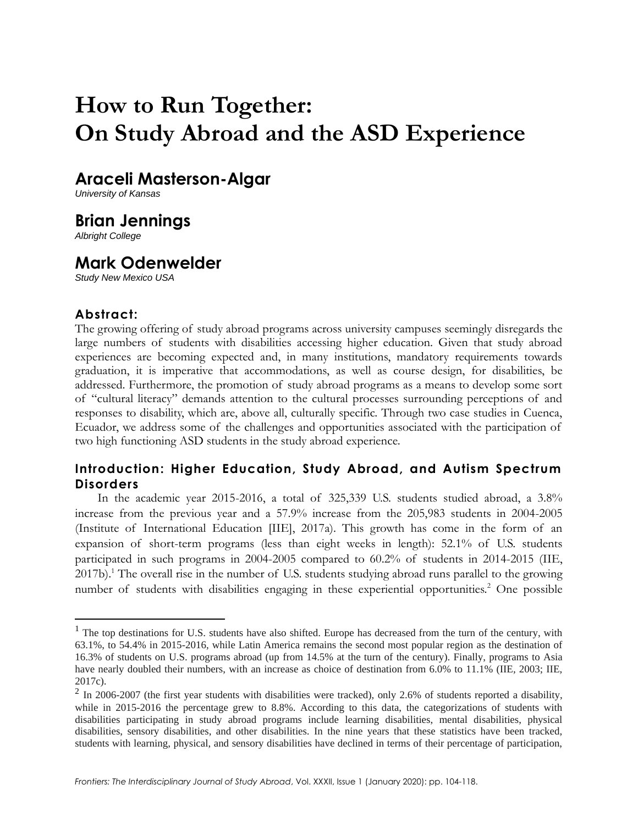# **How to Run Together: On Study Abroad and the ASD Experience**

# **Araceli Masterson-Algar**

*University of Kansas*

# **Brian Jennings**

*Albright College*

# **Mark Odenwelder**

*Study New Mexico USA*

## **Abstract:**

The growing offering of study abroad programs across university campuses seemingly disregards the large numbers of students with disabilities accessing higher education. Given that study abroad experiences are becoming expected and, in many institutions, mandatory requirements towards graduation, it is imperative that accommodations, as well as course design, for disabilities, be addressed. Furthermore, the promotion of study abroad programs as a means to develop some sort of "cultural literacy" demands attention to the cultural processes surrounding perceptions of and responses to disability, which are, above all, culturally specific. Through two case studies in Cuenca, Ecuador, we address some of the challenges and opportunities associated with the participation of two high functioning ASD students in the study abroad experience.

# **Introduction: Higher Education, Study Abroad, and Autism Spectrum Disorders**

In the academic year 2015-2016, a total of 325,339 U.S. students studied abroad, a 3.8% increase from the previous year and a 57.9% increase from the 205,983 students in 2004-2005 (Institute of International Education [IIE], 2017a). This growth has come in the form of an expansion of short-term programs (less than eight weeks in length): 52.1% of U.S. students participated in such programs in 2004-2005 compared to 60.2% of students in 2014-2015 (IIE, 2017b).<sup>1</sup> The overall rise in the number of U.S. students studying abroad runs parallel to the growing number of students with disabilities engaging in these experiential opportunities.<sup>2</sup> One possible

<sup>&</sup>lt;sup>1</sup> The top destinations for U.S. students have also shifted. Europe has decreased from the turn of the century, with 63.1%, to 54.4% in 2015-2016, while Latin America remains the second most popular region as the destination of 16.3% of students on U.S. programs abroad (up from 14.5% at the turn of the century). Finally, programs to Asia have nearly doubled their numbers, with an increase as choice of destination from 6.0% to 11.1% (IIE, 2003; IIE, 2017c).

 $2$  In 2006-2007 (the first year students with disabilities were tracked), only 2.6% of students reported a disability, while in 2015-2016 the percentage grew to 8.8%. According to this data, the categorizations of students with disabilities participating in study abroad programs include learning disabilities, mental disabilities, physical disabilities, sensory disabilities, and other disabilities. In the nine years that these statistics have been tracked, students with learning, physical, and sensory disabilities have declined in terms of their percentage of participation,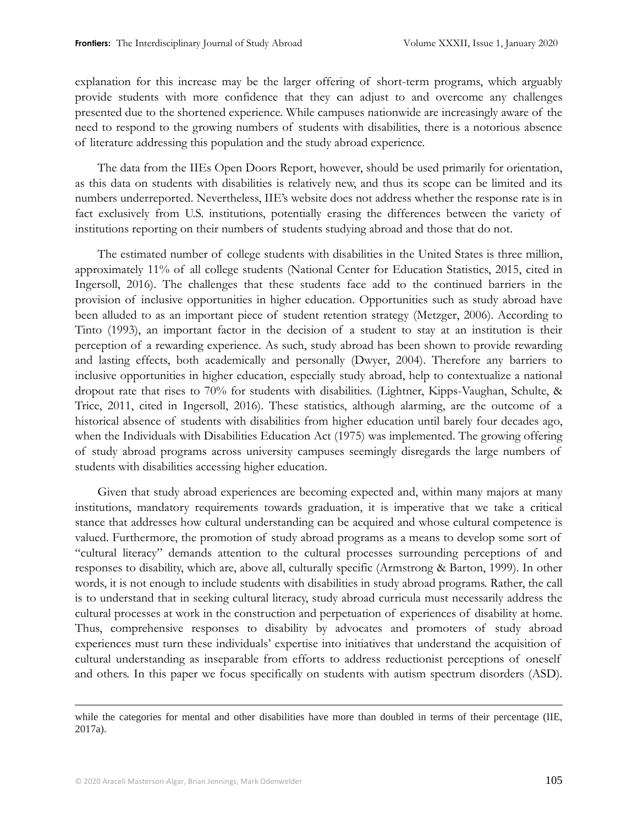explanation for this increase may be the larger offering of short-term programs, which arguably provide students with more confidence that they can adjust to and overcome any challenges presented due to the shortened experience. While campuses nationwide are increasingly aware of the need to respond to the growing numbers of students with disabilities, there is a notorious absence of literature addressing this population and the study abroad experience.

The data from the IIEs Open Doors Report, however, should be used primarily for orientation, as this data on students with disabilities is relatively new, and thus its scope can be limited and its numbers underreported. Nevertheless, IIE's website does not address whether the response rate is in fact exclusively from U.S. institutions, potentially erasing the differences between the variety of institutions reporting on their numbers of students studying abroad and those that do not.

The estimated number of college students with disabilities in the United States is three million, approximately 11% of all college students (National Center for Education Statistics, 2015, cited in Ingersoll, 2016). The challenges that these students face add to the continued barriers in the provision of inclusive opportunities in higher education. Opportunities such as study abroad have been alluded to as an important piece of student retention strategy (Metzger, 2006). According to Tinto (1993), an important factor in the decision of a student to stay at an institution is their perception of a rewarding experience. As such, study abroad has been shown to provide rewarding and lasting effects, both academically and personally (Dwyer, 2004). Therefore any barriers to inclusive opportunities in higher education, especially study abroad, help to contextualize a national dropout rate that rises to 70% for students with disabilities. (Lightner, Kipps-Vaughan, Schulte, & Trice, 2011, cited in Ingersoll, 2016). These statistics, although alarming, are the outcome of a historical absence of students with disabilities from higher education until barely four decades ago, when the Individuals with Disabilities Education Act (1975) was implemented. The growing offering of study abroad programs across university campuses seemingly disregards the large numbers of students with disabilities accessing higher education.

Given that study abroad experiences are becoming expected and, within many majors at many institutions, mandatory requirements towards graduation, it is imperative that we take a critical stance that addresses how cultural understanding can be acquired and whose cultural competence is valued. Furthermore, the promotion of study abroad programs as a means to develop some sort of "cultural literacy" demands attention to the cultural processes surrounding perceptions of and responses to disability, which are, above all, culturally specific (Armstrong & Barton, 1999). In other words, it is not enough to include students with disabilities in study abroad programs. Rather, the call is to understand that in seeking cultural literacy, study abroad curricula must necessarily address the cultural processes at work in the construction and perpetuation of experiences of disability at home. Thus, comprehensive responses to disability by advocates and promoters of study abroad experiences must turn these individuals' expertise into initiatives that understand the acquisition of cultural understanding as inseparable from efforts to address reductionist perceptions of oneself and others. In this paper we focus specifically on students with autism spectrum disorders (ASD).

while the categories for mental and other disabilities have more than doubled in terms of their percentage (IIE, 2017a).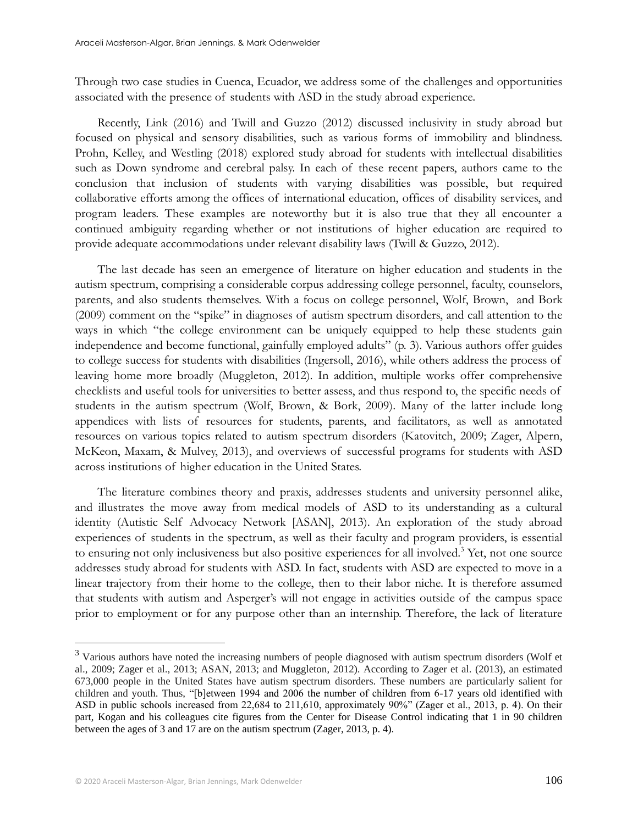Through two case studies in Cuenca, Ecuador, we address some of the challenges and opportunities associated with the presence of students with ASD in the study abroad experience.

Recently, Link (2016) and Twill and Guzzo (2012) discussed inclusivity in study abroad but focused on physical and sensory disabilities, such as various forms of immobility and blindness. Prohn, Kelley, and Westling (2018) explored study abroad for students with intellectual disabilities such as Down syndrome and cerebral palsy. In each of these recent papers, authors came to the conclusion that inclusion of students with varying disabilities was possible, but required collaborative efforts among the offices of international education, offices of disability services, and program leaders. These examples are noteworthy but it is also true that they all encounter a continued ambiguity regarding whether or not institutions of higher education are required to provide adequate accommodations under relevant disability laws (Twill & Guzzo, 2012).

The last decade has seen an emergence of literature on higher education and students in the autism spectrum, comprising a considerable corpus addressing college personnel, faculty, counselors, parents, and also students themselves. With a focus on college personnel, Wolf, Brown, and Bork (2009) comment on the "spike" in diagnoses of autism spectrum disorders, and call attention to the ways in which "the college environment can be uniquely equipped to help these students gain independence and become functional, gainfully employed adults" (p. 3). Various authors offer guides to college success for students with disabilities (Ingersoll, 2016), while others address the process of leaving home more broadly (Muggleton, 2012). In addition, multiple works offer comprehensive checklists and useful tools for universities to better assess, and thus respond to, the specific needs of students in the autism spectrum (Wolf, Brown, & Bork, 2009). Many of the latter include long appendices with lists of resources for students, parents, and facilitators, as well as annotated resources on various topics related to autism spectrum disorders (Katovitch, 2009; Zager, Alpern, McKeon, Maxam, & Mulvey, 2013), and overviews of successful programs for students with ASD across institutions of higher education in the United States.

The literature combines theory and praxis, addresses students and university personnel alike, and illustrates the move away from medical models of ASD to its understanding as a cultural identity (Autistic Self Advocacy Network [ASAN], 2013). An exploration of the study abroad experiences of students in the spectrum, as well as their faculty and program providers, is essential to ensuring not only inclusiveness but also positive experiences for all involved.<sup>3</sup> Yet, not one source addresses study abroad for students with ASD. In fact, students with ASD are expected to move in a linear trajectory from their home to the college, then to their labor niche. It is therefore assumed that students with autism and Asperger's will not engage in activities outside of the campus space prior to employment or for any purpose other than an internship. Therefore, the lack of literature

<sup>&</sup>lt;sup>3</sup> Various authors have noted the increasing numbers of people diagnosed with autism spectrum disorders (Wolf et al., 2009; Zager et al., 2013; ASAN, 2013; and Muggleton, 2012). According to Zager et al. (2013), an estimated 673,000 people in the United States have autism spectrum disorders. These numbers are particularly salient for children and youth. Thus, "[b]etween 1994 and 2006 the number of children from 6-17 years old identified with ASD in public schools increased from 22,684 to 211,610, approximately 90%" (Zager et al., 2013, p. 4). On their part, Kogan and his colleagues cite figures from the Center for Disease Control indicating that 1 in 90 children between the ages of 3 and 17 are on the autism spectrum (Zager, 2013, p. 4).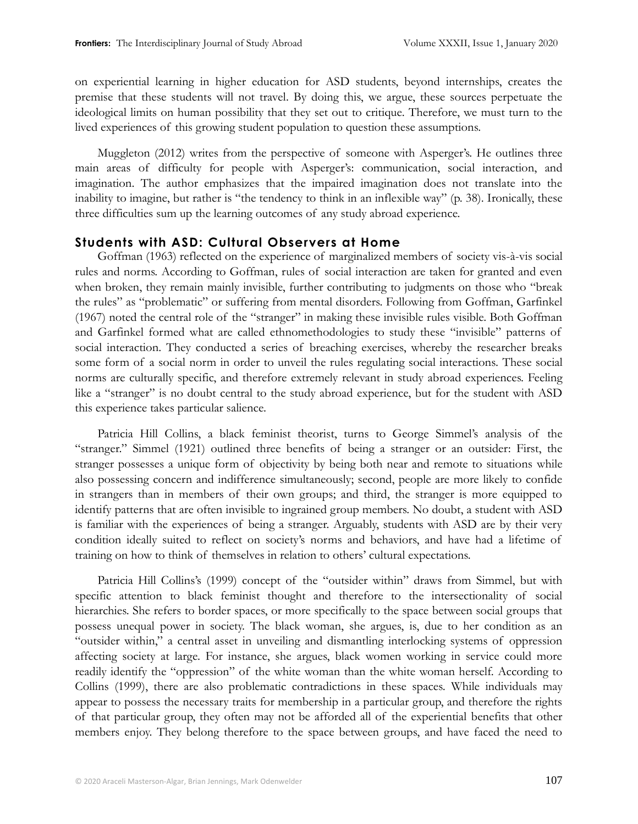on experiential learning in higher education for ASD students, beyond internships, creates the premise that these students will not travel. By doing this, we argue, these sources perpetuate the ideological limits on human possibility that they set out to critique. Therefore, we must turn to the lived experiences of this growing student population to question these assumptions.

Muggleton (2012) writes from the perspective of someone with Asperger's. He outlines three main areas of difficulty for people with Asperger's: communication, social interaction, and imagination. The author emphasizes that the impaired imagination does not translate into the inability to imagine, but rather is "the tendency to think in an inflexible way" (p. 38). Ironically, these three difficulties sum up the learning outcomes of any study abroad experience.

### **Students with ASD: Cultural Observers at Home**

Goffman (1963) reflected on the experience of marginalized members of society vis-à-vis social rules and norms. According to Goffman, rules of social interaction are taken for granted and even when broken, they remain mainly invisible, further contributing to judgments on those who "break the rules" as "problematic" or suffering from mental disorders. Following from Goffman, Garfinkel (1967) noted the central role of the "stranger" in making these invisible rules visible. Both Goffman and Garfinkel formed what are called ethnomethodologies to study these "invisible" patterns of social interaction. They conducted a series of breaching exercises, whereby the researcher breaks some form of a social norm in order to unveil the rules regulating social interactions. These social norms are culturally specific, and therefore extremely relevant in study abroad experiences. Feeling like a "stranger" is no doubt central to the study abroad experience, but for the student with ASD this experience takes particular salience.

Patricia Hill Collins, a black feminist theorist, turns to George Simmel's analysis of the "stranger." Simmel (1921) outlined three benefits of being a stranger or an outsider: First, the stranger possesses a unique form of objectivity by being both near and remote to situations while also possessing concern and indifference simultaneously; second, people are more likely to confide in strangers than in members of their own groups; and third, the stranger is more equipped to identify patterns that are often invisible to ingrained group members. No doubt, a student with ASD is familiar with the experiences of being a stranger. Arguably, students with ASD are by their very condition ideally suited to reflect on society's norms and behaviors, and have had a lifetime of training on how to think of themselves in relation to others' cultural expectations.

Patricia Hill Collins's (1999) concept of the "outsider within" draws from Simmel, but with specific attention to black feminist thought and therefore to the intersectionality of social hierarchies. She refers to border spaces, or more specifically to the space between social groups that possess unequal power in society. The black woman, she argues, is, due to her condition as an "outsider within," a central asset in unveiling and dismantling interlocking systems of oppression affecting society at large. For instance, she argues, black women working in service could more readily identify the "oppression" of the white woman than the white woman herself. According to Collins (1999), there are also problematic contradictions in these spaces. While individuals may appear to possess the necessary traits for membership in a particular group, and therefore the rights of that particular group, they often may not be afforded all of the experiential benefits that other members enjoy. They belong therefore to the space between groups, and have faced the need to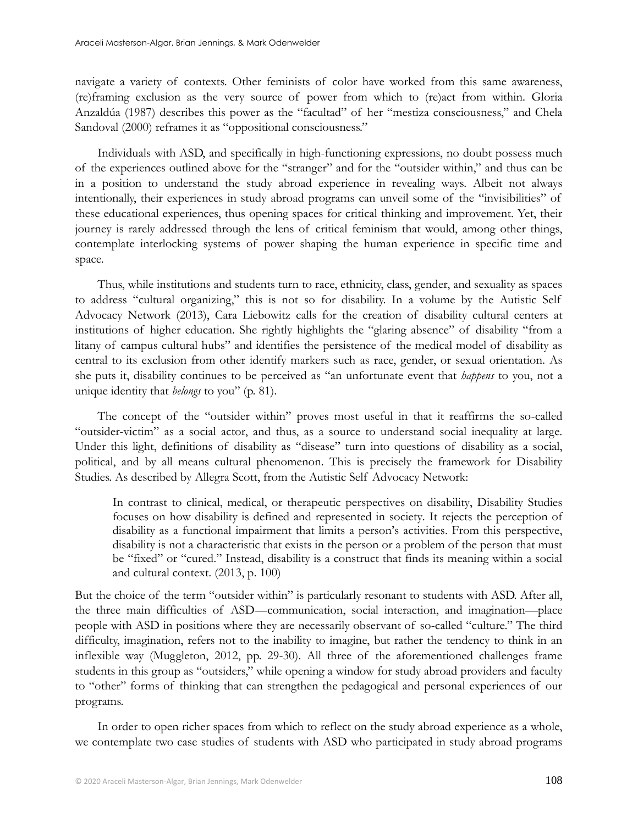navigate a variety of contexts. Other feminists of color have worked from this same awareness, (re)framing exclusion as the very source of power from which to (re)act from within. Gloria Anzaldúa (1987) describes this power as the "facultad" of her "mestiza consciousness," and Chela Sandoval (2000) reframes it as "oppositional consciousness."

Individuals with ASD, and specifically in high-functioning expressions, no doubt possess much of the experiences outlined above for the "stranger" and for the "outsider within," and thus can be in a position to understand the study abroad experience in revealing ways. Albeit not always intentionally, their experiences in study abroad programs can unveil some of the "invisibilities" of these educational experiences, thus opening spaces for critical thinking and improvement. Yet, their journey is rarely addressed through the lens of critical feminism that would, among other things, contemplate interlocking systems of power shaping the human experience in specific time and space.

Thus, while institutions and students turn to race, ethnicity, class, gender, and sexuality as spaces to address "cultural organizing," this is not so for disability. In a volume by the Autistic Self Advocacy Network (2013), Cara Liebowitz calls for the creation of disability cultural centers at institutions of higher education. She rightly highlights the "glaring absence" of disability "from a litany of campus cultural hubs" and identifies the persistence of the medical model of disability as central to its exclusion from other identify markers such as race, gender, or sexual orientation. As she puts it, disability continues to be perceived as "an unfortunate event that *happens* to you, not a unique identity that *belongs* to you" (p. 81).

The concept of the "outsider within" proves most useful in that it reaffirms the so-called "outsider-victim" as a social actor, and thus, as a source to understand social inequality at large. Under this light, definitions of disability as "disease" turn into questions of disability as a social, political, and by all means cultural phenomenon. This is precisely the framework for Disability Studies. As described by Allegra Scott, from the Autistic Self Advocacy Network:

In contrast to clinical, medical, or therapeutic perspectives on disability, Disability Studies focuses on how disability is defined and represented in society. It rejects the perception of disability as a functional impairment that limits a person's activities. From this perspective, disability is not a characteristic that exists in the person or a problem of the person that must be "fixed" or "cured." Instead, disability is a construct that finds its meaning within a social and cultural context. (2013, p. 100)

But the choice of the term "outsider within" is particularly resonant to students with ASD. After all, the three main difficulties of ASD—communication, social interaction, and imagination—place people with ASD in positions where they are necessarily observant of so-called "culture." The third difficulty, imagination, refers not to the inability to imagine, but rather the tendency to think in an inflexible way (Muggleton, 2012, pp. 29-30). All three of the aforementioned challenges frame students in this group as "outsiders," while opening a window for study abroad providers and faculty to "other" forms of thinking that can strengthen the pedagogical and personal experiences of our programs.

In order to open richer spaces from which to reflect on the study abroad experience as a whole, we contemplate two case studies of students with ASD who participated in study abroad programs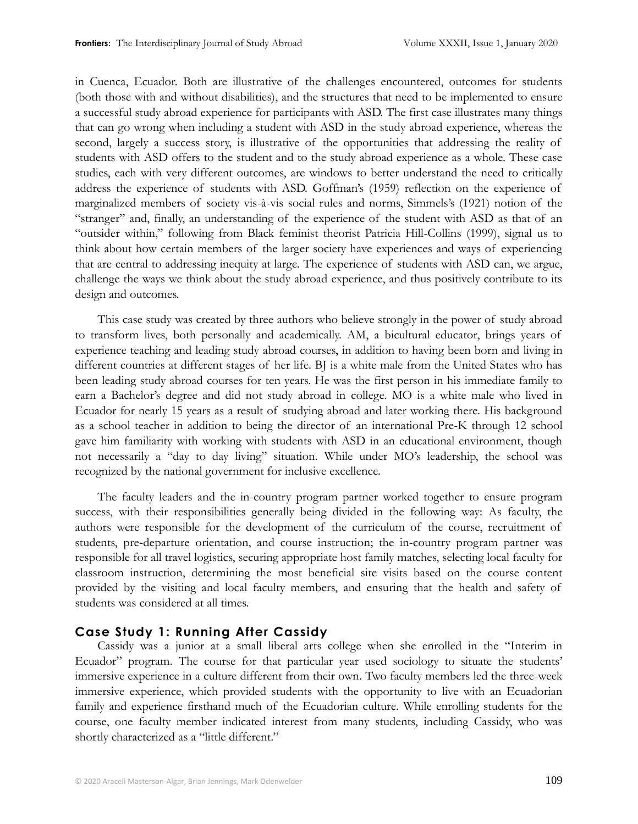in Cuenca, Ecuador. Both are illustrative of the challenges encountered, outcomes for students (both those with and without disabilities), and the structures that need to be implemented to ensure a successful study abroad experience for participants with ASD. The first case illustrates many things that can go wrong when including a student with ASD in the study abroad experience, whereas the second, largely a success story, is illustrative of the opportunities that addressing the reality of students with ASD offers to the student and to the study abroad experience as a whole. These case studies, each with very different outcomes, are windows to better understand the need to critically address the experience of students with ASD. Goffman's (1959) reflection on the experience of marginalized members of society vis-à-vis social rules and norms, Simmels's (1921) notion of the "stranger" and, finally, an understanding of the experience of the student with ASD as that of an "outsider within," following from Black feminist theorist Patricia Hill-Collins (1999), signal us to think about how certain members of the larger society have experiences and ways of experiencing that are central to addressing inequity at large. The experience of students with ASD can, we argue, challenge the ways we think about the study abroad experience, and thus positively contribute to its design and outcomes.

This case study was created by three authors who believe strongly in the power of study abroad to transform lives, both personally and academically. AM, a bicultural educator, brings years of experience teaching and leading study abroad courses, in addition to having been born and living in different countries at different stages of her life. BJ is a white male from the United States who has been leading study abroad courses for ten years. He was the first person in his immediate family to earn a Bachelor's degree and did not study abroad in college. MO is a white male who lived in Ecuador for nearly 15 years as a result of studying abroad and later working there. His background as a school teacher in addition to being the director of an international Pre-K through 12 school gave him familiarity with working with students with ASD in an educational environment, though not necessarily a "day to day living" situation. While under MO's leadership, the school was recognized by the national government for inclusive excellence.

The faculty leaders and the in-country program partner worked together to ensure program success, with their responsibilities generally being divided in the following way: As faculty, the authors were responsible for the development of the curriculum of the course, recruitment of students, pre-departure orientation, and course instruction; the in-country program partner was responsible for all travel logistics, securing appropriate host family matches, selecting local faculty for classroom instruction, determining the most beneficial site visits based on the course content provided by the visiting and local faculty members, and ensuring that the health and safety of students was considered at all times.

#### **Case Study 1: Running After Cassidy**

Cassidy was a junior at a small liberal arts college when she enrolled in the "Interim in Ecuador" program. The course for that particular year used sociology to situate the students' immersive experience in a culture different from their own. Two faculty members led the three-week immersive experience, which provided students with the opportunity to live with an Ecuadorian family and experience firsthand much of the Ecuadorian culture. While enrolling students for the course, one faculty member indicated interest from many students, including Cassidy, who was shortly characterized as a "little different."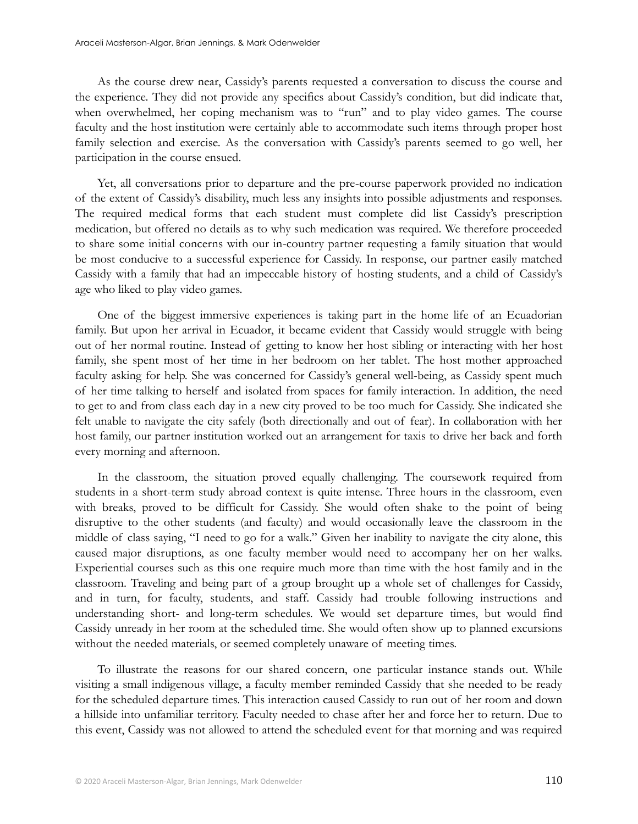As the course drew near, Cassidy's parents requested a conversation to discuss the course and the experience. They did not provide any specifics about Cassidy's condition, but did indicate that, when overwhelmed, her coping mechanism was to "run" and to play video games. The course faculty and the host institution were certainly able to accommodate such items through proper host family selection and exercise. As the conversation with Cassidy's parents seemed to go well, her participation in the course ensued.

Yet, all conversations prior to departure and the pre-course paperwork provided no indication of the extent of Cassidy's disability, much less any insights into possible adjustments and responses. The required medical forms that each student must complete did list Cassidy's prescription medication, but offered no details as to why such medication was required. We therefore proceeded to share some initial concerns with our in-country partner requesting a family situation that would be most conducive to a successful experience for Cassidy. In response, our partner easily matched Cassidy with a family that had an impeccable history of hosting students, and a child of Cassidy's age who liked to play video games.

One of the biggest immersive experiences is taking part in the home life of an Ecuadorian family. But upon her arrival in Ecuador, it became evident that Cassidy would struggle with being out of her normal routine. Instead of getting to know her host sibling or interacting with her host family, she spent most of her time in her bedroom on her tablet. The host mother approached faculty asking for help. She was concerned for Cassidy's general well-being, as Cassidy spent much of her time talking to herself and isolated from spaces for family interaction. In addition, the need to get to and from class each day in a new city proved to be too much for Cassidy. She indicated she felt unable to navigate the city safely (both directionally and out of fear). In collaboration with her host family, our partner institution worked out an arrangement for taxis to drive her back and forth every morning and afternoon.

In the classroom, the situation proved equally challenging. The coursework required from students in a short-term study abroad context is quite intense. Three hours in the classroom, even with breaks, proved to be difficult for Cassidy. She would often shake to the point of being disruptive to the other students (and faculty) and would occasionally leave the classroom in the middle of class saying, "I need to go for a walk." Given her inability to navigate the city alone, this caused major disruptions, as one faculty member would need to accompany her on her walks. Experiential courses such as this one require much more than time with the host family and in the classroom. Traveling and being part of a group brought up a whole set of challenges for Cassidy, and in turn, for faculty, students, and staff. Cassidy had trouble following instructions and understanding short- and long-term schedules. We would set departure times, but would find Cassidy unready in her room at the scheduled time. She would often show up to planned excursions without the needed materials, or seemed completely unaware of meeting times.

To illustrate the reasons for our shared concern, one particular instance stands out. While visiting a small indigenous village, a faculty member reminded Cassidy that she needed to be ready for the scheduled departure times. This interaction caused Cassidy to run out of her room and down a hillside into unfamiliar territory. Faculty needed to chase after her and force her to return. Due to this event, Cassidy was not allowed to attend the scheduled event for that morning and was required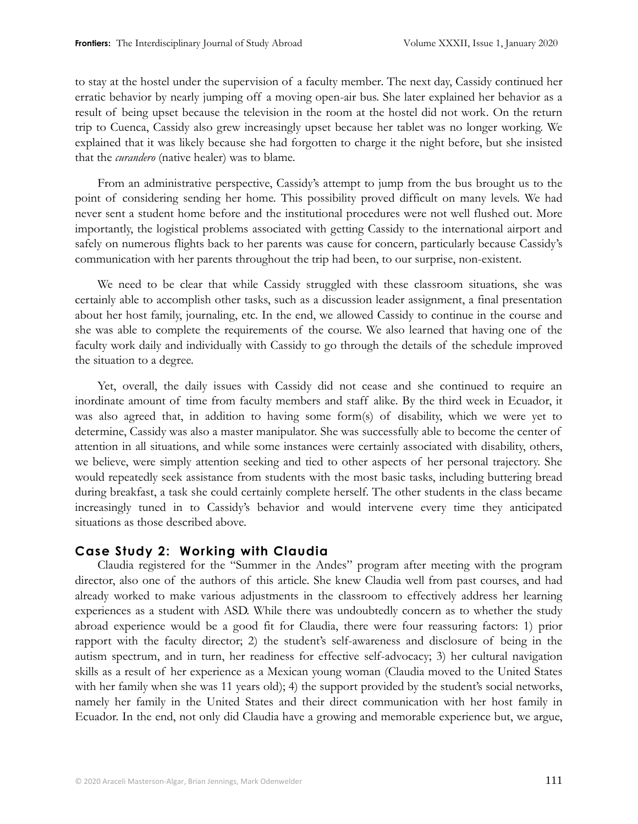to stay at the hostel under the supervision of a faculty member. The next day, Cassidy continued her erratic behavior by nearly jumping off a moving open-air bus. She later explained her behavior as a result of being upset because the television in the room at the hostel did not work. On the return trip to Cuenca, Cassidy also grew increasingly upset because her tablet was no longer working. We explained that it was likely because she had forgotten to charge it the night before, but she insisted that the *curandero* (native healer) was to blame.

From an administrative perspective, Cassidy's attempt to jump from the bus brought us to the point of considering sending her home. This possibility proved difficult on many levels. We had never sent a student home before and the institutional procedures were not well flushed out. More importantly, the logistical problems associated with getting Cassidy to the international airport and safely on numerous flights back to her parents was cause for concern, particularly because Cassidy's communication with her parents throughout the trip had been, to our surprise, non-existent.

We need to be clear that while Cassidy struggled with these classroom situations, she was certainly able to accomplish other tasks, such as a discussion leader assignment, a final presentation about her host family, journaling, etc. In the end, we allowed Cassidy to continue in the course and she was able to complete the requirements of the course. We also learned that having one of the faculty work daily and individually with Cassidy to go through the details of the schedule improved the situation to a degree.

Yet, overall, the daily issues with Cassidy did not cease and she continued to require an inordinate amount of time from faculty members and staff alike. By the third week in Ecuador, it was also agreed that, in addition to having some form(s) of disability, which we were yet to determine, Cassidy was also a master manipulator. She was successfully able to become the center of attention in all situations, and while some instances were certainly associated with disability, others, we believe, were simply attention seeking and tied to other aspects of her personal trajectory. She would repeatedly seek assistance from students with the most basic tasks, including buttering bread during breakfast, a task she could certainly complete herself. The other students in the class became increasingly tuned in to Cassidy's behavior and would intervene every time they anticipated situations as those described above.

### **Case Study 2: Working with Claudia**

Claudia registered for the "Summer in the Andes" program after meeting with the program director, also one of the authors of this article. She knew Claudia well from past courses, and had already worked to make various adjustments in the classroom to effectively address her learning experiences as a student with ASD. While there was undoubtedly concern as to whether the study abroad experience would be a good fit for Claudia, there were four reassuring factors: 1) prior rapport with the faculty director; 2) the student's self-awareness and disclosure of being in the autism spectrum, and in turn, her readiness for effective self-advocacy; 3) her cultural navigation skills as a result of her experience as a Mexican young woman (Claudia moved to the United States with her family when she was 11 years old); 4) the support provided by the student's social networks, namely her family in the United States and their direct communication with her host family in Ecuador. In the end, not only did Claudia have a growing and memorable experience but, we argue,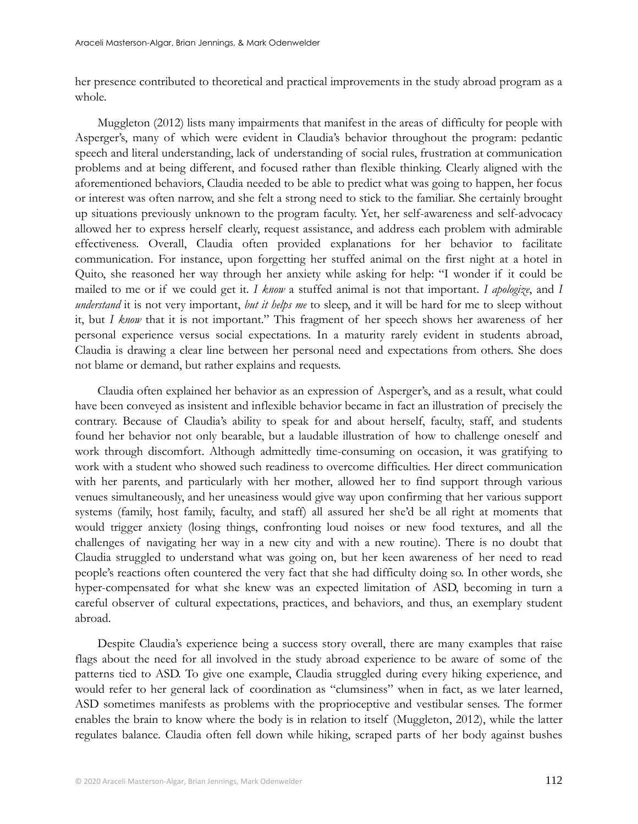her presence contributed to theoretical and practical improvements in the study abroad program as a whole.

Muggleton (2012) lists many impairments that manifest in the areas of difficulty for people with Asperger's, many of which were evident in Claudia's behavior throughout the program: pedantic speech and literal understanding, lack of understanding of social rules, frustration at communication problems and at being different, and focused rather than flexible thinking. Clearly aligned with the aforementioned behaviors, Claudia needed to be able to predict what was going to happen, her focus or interest was often narrow, and she felt a strong need to stick to the familiar. She certainly brought up situations previously unknown to the program faculty. Yet, her self-awareness and self-advocacy allowed her to express herself clearly, request assistance, and address each problem with admirable effectiveness. Overall, Claudia often provided explanations for her behavior to facilitate communication. For instance, upon forgetting her stuffed animal on the first night at a hotel in Quito, she reasoned her way through her anxiety while asking for help: "I wonder if it could be mailed to me or if we could get it. *I know* a stuffed animal is not that important. *I apologize*, and *I understand* it is not very important, *but it helps me* to sleep, and it will be hard for me to sleep without it, but *I know* that it is not important." This fragment of her speech shows her awareness of her personal experience versus social expectations. In a maturity rarely evident in students abroad, Claudia is drawing a clear line between her personal need and expectations from others. She does not blame or demand, but rather explains and requests.

Claudia often explained her behavior as an expression of Asperger's, and as a result, what could have been conveyed as insistent and inflexible behavior became in fact an illustration of precisely the contrary. Because of Claudia's ability to speak for and about herself, faculty, staff, and students found her behavior not only bearable, but a laudable illustration of how to challenge oneself and work through discomfort. Although admittedly time-consuming on occasion, it was gratifying to work with a student who showed such readiness to overcome difficulties. Her direct communication with her parents, and particularly with her mother, allowed her to find support through various venues simultaneously, and her uneasiness would give way upon confirming that her various support systems (family, host family, faculty, and staff) all assured her she'd be all right at moments that would trigger anxiety (losing things, confronting loud noises or new food textures, and all the challenges of navigating her way in a new city and with a new routine). There is no doubt that Claudia struggled to understand what was going on, but her keen awareness of her need to read people's reactions often countered the very fact that she had difficulty doing so. In other words, she hyper-compensated for what she knew was an expected limitation of ASD, becoming in turn a careful observer of cultural expectations, practices, and behaviors, and thus, an exemplary student abroad.

Despite Claudia's experience being a success story overall, there are many examples that raise flags about the need for all involved in the study abroad experience to be aware of some of the patterns tied to ASD. To give one example, Claudia struggled during every hiking experience, and would refer to her general lack of coordination as "clumsiness" when in fact, as we later learned, ASD sometimes manifests as problems with the proprioceptive and vestibular senses. The former enables the brain to know where the body is in relation to itself (Muggleton, 2012), while the latter regulates balance. Claudia often fell down while hiking, scraped parts of her body against bushes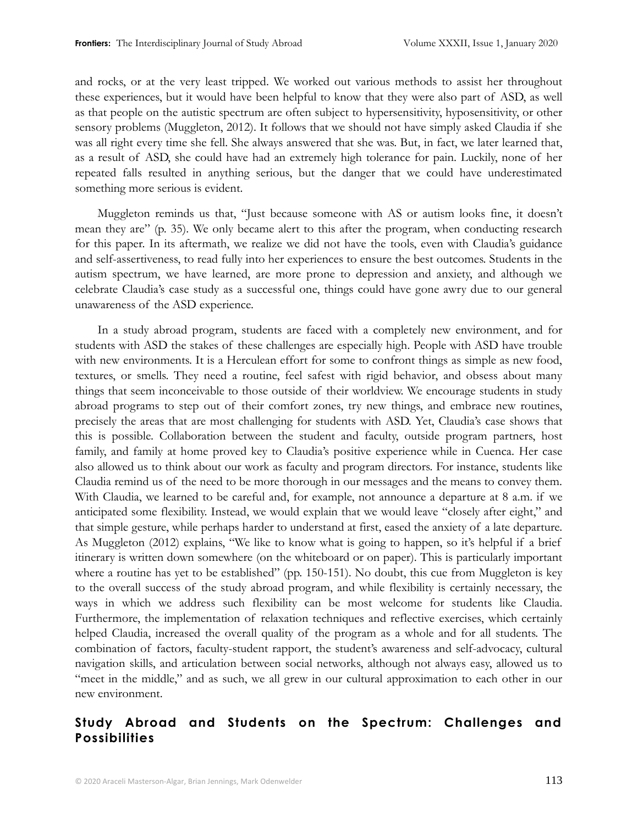and rocks, or at the very least tripped. We worked out various methods to assist her throughout these experiences, but it would have been helpful to know that they were also part of ASD, as well as that people on the autistic spectrum are often subject to hypersensitivity, hyposensitivity, or other sensory problems (Muggleton, 2012). It follows that we should not have simply asked Claudia if she was all right every time she fell. She always answered that she was. But, in fact, we later learned that, as a result of ASD, she could have had an extremely high tolerance for pain. Luckily, none of her repeated falls resulted in anything serious, but the danger that we could have underestimated something more serious is evident.

Muggleton reminds us that, "Just because someone with AS or autism looks fine, it doesn't mean they are" (p. 35). We only became alert to this after the program, when conducting research for this paper. In its aftermath, we realize we did not have the tools, even with Claudia's guidance and self-assertiveness, to read fully into her experiences to ensure the best outcomes. Students in the autism spectrum, we have learned, are more prone to depression and anxiety, and although we celebrate Claudia's case study as a successful one, things could have gone awry due to our general unawareness of the ASD experience.

In a study abroad program, students are faced with a completely new environment, and for students with ASD the stakes of these challenges are especially high. People with ASD have trouble with new environments. It is a Herculean effort for some to confront things as simple as new food, textures, or smells. They need a routine, feel safest with rigid behavior, and obsess about many things that seem inconceivable to those outside of their worldview. We encourage students in study abroad programs to step out of their comfort zones, try new things, and embrace new routines, precisely the areas that are most challenging for students with ASD. Yet, Claudia's case shows that this is possible. Collaboration between the student and faculty, outside program partners, host family, and family at home proved key to Claudia's positive experience while in Cuenca. Her case also allowed us to think about our work as faculty and program directors. For instance, students like Claudia remind us of the need to be more thorough in our messages and the means to convey them. With Claudia, we learned to be careful and, for example, not announce a departure at 8 a.m. if we anticipated some flexibility. Instead, we would explain that we would leave "closely after eight," and that simple gesture, while perhaps harder to understand at first, eased the anxiety of a late departure. As Muggleton (2012) explains, "We like to know what is going to happen, so it's helpful if a brief itinerary is written down somewhere (on the whiteboard or on paper). This is particularly important where a routine has yet to be established" (pp. 150-151). No doubt, this cue from Muggleton is key to the overall success of the study abroad program, and while flexibility is certainly necessary, the ways in which we address such flexibility can be most welcome for students like Claudia. Furthermore, the implementation of relaxation techniques and reflective exercises, which certainly helped Claudia, increased the overall quality of the program as a whole and for all students. The combination of factors, faculty-student rapport, the student's awareness and self-advocacy, cultural navigation skills, and articulation between social networks, although not always easy, allowed us to "meet in the middle," and as such, we all grew in our cultural approximation to each other in our new environment.

# **Study Abroad and Students on the Spectrum: Challenges and Possibilities**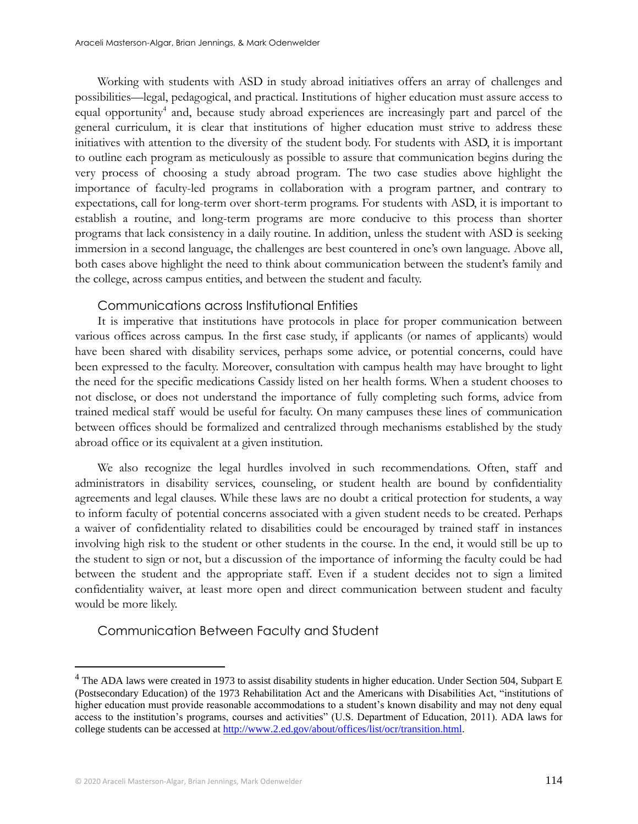Working with students with ASD in study abroad initiatives offers an array of challenges and possibilities—legal, pedagogical, and practical. Institutions of higher education must assure access to equal opportunity<sup>4</sup> and, because study abroad experiences are increasingly part and parcel of the general curriculum, it is clear that institutions of higher education must strive to address these initiatives with attention to the diversity of the student body. For students with ASD, it is important to outline each program as meticulously as possible to assure that communication begins during the very process of choosing a study abroad program. The two case studies above highlight the importance of faculty-led programs in collaboration with a program partner, and contrary to expectations, call for long-term over short-term programs. For students with ASD, it is important to establish a routine, and long-term programs are more conducive to this process than shorter programs that lack consistency in a daily routine. In addition, unless the student with ASD is seeking immersion in a second language, the challenges are best countered in one's own language. Above all, both cases above highlight the need to think about communication between the student's family and the college, across campus entities, and between the student and faculty.

#### Communications across Institutional Entities

It is imperative that institutions have protocols in place for proper communication between various offices across campus. In the first case study, if applicants (or names of applicants) would have been shared with disability services, perhaps some advice, or potential concerns, could have been expressed to the faculty. Moreover, consultation with campus health may have brought to light the need for the specific medications Cassidy listed on her health forms. When a student chooses to not disclose, or does not understand the importance of fully completing such forms, advice from trained medical staff would be useful for faculty. On many campuses these lines of communication between offices should be formalized and centralized through mechanisms established by the study abroad office or its equivalent at a given institution.

We also recognize the legal hurdles involved in such recommendations. Often, staff and administrators in disability services, counseling, or student health are bound by confidentiality agreements and legal clauses. While these laws are no doubt a critical protection for students, a way to inform faculty of potential concerns associated with a given student needs to be created. Perhaps a waiver of confidentiality related to disabilities could be encouraged by trained staff in instances involving high risk to the student or other students in the course. In the end, it would still be up to the student to sign or not, but a discussion of the importance of informing the faculty could be had between the student and the appropriate staff. Even if a student decides not to sign a limited confidentiality waiver, at least more open and direct communication between student and faculty would be more likely.

# Communication Between Faculty and Student

 $4$  The ADA laws were created in 1973 to assist disability students in higher education. Under Section 504, Subpart E (Postsecondary Education) of the 1973 Rehabilitation Act and the Americans with Disabilities Act, "institutions of higher education must provide reasonable accommodations to a student's known disability and may not deny equal access to the institution's programs, courses and activities" (U.S. Department of Education, 2011). ADA laws for college students can be accessed at [http://www.2.ed.gov/about/offices/list/ocr/transition.html.](http://www.2.ed.gov/about/offices/list/ocr/transition.html)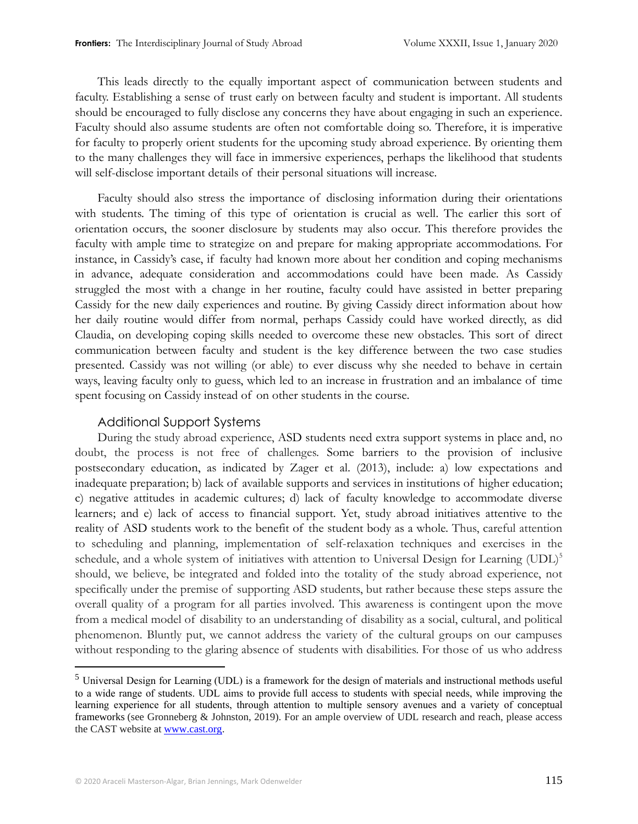This leads directly to the equally important aspect of communication between students and faculty. Establishing a sense of trust early on between faculty and student is important. All students should be encouraged to fully disclose any concerns they have about engaging in such an experience. Faculty should also assume students are often not comfortable doing so. Therefore, it is imperative for faculty to properly orient students for the upcoming study abroad experience. By orienting them to the many challenges they will face in immersive experiences, perhaps the likelihood that students will self-disclose important details of their personal situations will increase.

Faculty should also stress the importance of disclosing information during their orientations with students. The timing of this type of orientation is crucial as well. The earlier this sort of orientation occurs, the sooner disclosure by students may also occur. This therefore provides the faculty with ample time to strategize on and prepare for making appropriate accommodations. For instance, in Cassidy's case, if faculty had known more about her condition and coping mechanisms in advance, adequate consideration and accommodations could have been made. As Cassidy struggled the most with a change in her routine, faculty could have assisted in better preparing Cassidy for the new daily experiences and routine. By giving Cassidy direct information about how her daily routine would differ from normal, perhaps Cassidy could have worked directly, as did Claudia, on developing coping skills needed to overcome these new obstacles. This sort of direct communication between faculty and student is the key difference between the two case studies presented. Cassidy was not willing (or able) to ever discuss why she needed to behave in certain ways, leaving faculty only to guess, which led to an increase in frustration and an imbalance of time spent focusing on Cassidy instead of on other students in the course.

#### Additional Support Systems

During the study abroad experience, ASD students need extra support systems in place and, no doubt, the process is not free of challenges. Some barriers to the provision of inclusive postsecondary education, as indicated by Zager et al. (2013), include: a) low expectations and inadequate preparation; b) lack of available supports and services in institutions of higher education; c) negative attitudes in academic cultures; d) lack of faculty knowledge to accommodate diverse learners; and e) lack of access to financial support. Yet, study abroad initiatives attentive to the reality of ASD students work to the benefit of the student body as a whole. Thus, careful attention to scheduling and planning, implementation of self-relaxation techniques and exercises in the schedule, and a whole system of initiatives with attention to Universal Design for Learning (UDL)<sup>5</sup> should, we believe, be integrated and folded into the totality of the study abroad experience, not specifically under the premise of supporting ASD students, but rather because these steps assure the overall quality of a program for all parties involved. This awareness is contingent upon the move from a medical model of disability to an understanding of disability as a social, cultural, and political phenomenon. Bluntly put, we cannot address the variety of the cultural groups on our campuses without responding to the glaring absence of students with disabilities. For those of us who address

<sup>&</sup>lt;sup>5</sup> Universal Design for Learning (UDL) is a framework for the design of materials and instructional methods useful to a wide range of students. UDL aims to provide full access to students with special needs, while improving the learning experience for all students, through attention to multiple sensory avenues and a variety of conceptual frameworks (see Gronneberg & Johnston, 2019). For an ample overview of UDL research and reach, please access the CAST website a[t www.cast.org.](http://www.cast.org/)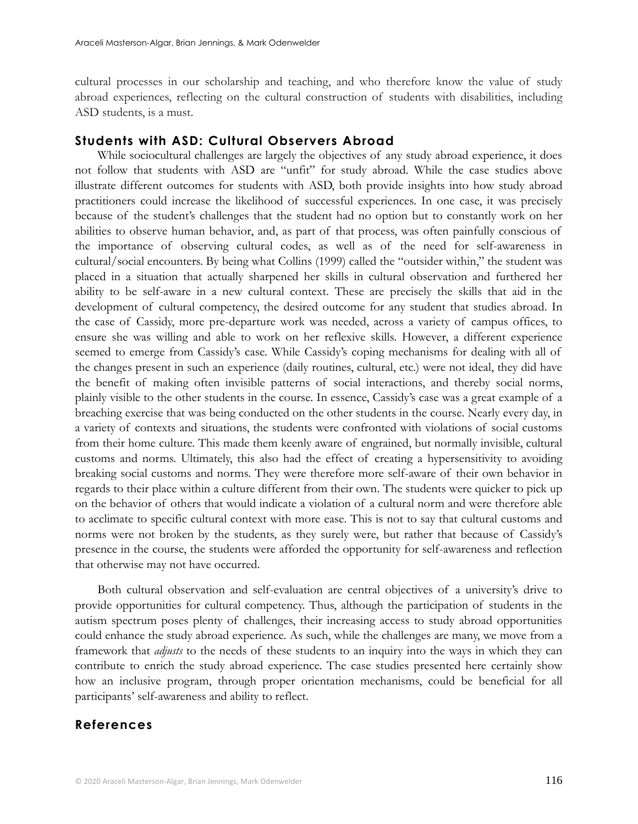cultural processes in our scholarship and teaching, and who therefore know the value of study abroad experiences, reflecting on the cultural construction of students with disabilities, including ASD students, is a must.

#### **Students with ASD: Cultural Observers Abroad**

While sociocultural challenges are largely the objectives of any study abroad experience, it does not follow that students with ASD are "unfit" for study abroad. While the case studies above illustrate different outcomes for students with ASD, both provide insights into how study abroad practitioners could increase the likelihood of successful experiences. In one case, it was precisely because of the student's challenges that the student had no option but to constantly work on her abilities to observe human behavior, and, as part of that process, was often painfully conscious of the importance of observing cultural codes, as well as of the need for self-awareness in cultural/social encounters. By being what Collins (1999) called the "outsider within," the student was placed in a situation that actually sharpened her skills in cultural observation and furthered her ability to be self-aware in a new cultural context. These are precisely the skills that aid in the development of cultural competency, the desired outcome for any student that studies abroad. In the case of Cassidy, more pre-departure work was needed, across a variety of campus offices, to ensure she was willing and able to work on her reflexive skills. However, a different experience seemed to emerge from Cassidy's case. While Cassidy's coping mechanisms for dealing with all of the changes present in such an experience (daily routines, cultural, etc.) were not ideal, they did have the benefit of making often invisible patterns of social interactions, and thereby social norms, plainly visible to the other students in the course. In essence, Cassidy's case was a great example of a breaching exercise that was being conducted on the other students in the course. Nearly every day, in a variety of contexts and situations, the students were confronted with violations of social customs from their home culture. This made them keenly aware of engrained, but normally invisible, cultural customs and norms. Ultimately, this also had the effect of creating a hypersensitivity to avoiding breaking social customs and norms. They were therefore more self-aware of their own behavior in regards to their place within a culture different from their own. The students were quicker to pick up on the behavior of others that would indicate a violation of a cultural norm and were therefore able to acclimate to specific cultural context with more ease. This is not to say that cultural customs and norms were not broken by the students, as they surely were, but rather that because of Cassidy's presence in the course, the students were afforded the opportunity for self-awareness and reflection that otherwise may not have occurred.

Both cultural observation and self-evaluation are central objectives of a university's drive to provide opportunities for cultural competency. Thus, although the participation of students in the autism spectrum poses plenty of challenges, their increasing access to study abroad opportunities could enhance the study abroad experience. As such, while the challenges are many, we move from a framework that *adjusts* to the needs of these students to an inquiry into the ways in which they can contribute to enrich the study abroad experience. The case studies presented here certainly show how an inclusive program, through proper orientation mechanisms, could be beneficial for all participants' self-awareness and ability to reflect.

#### **References**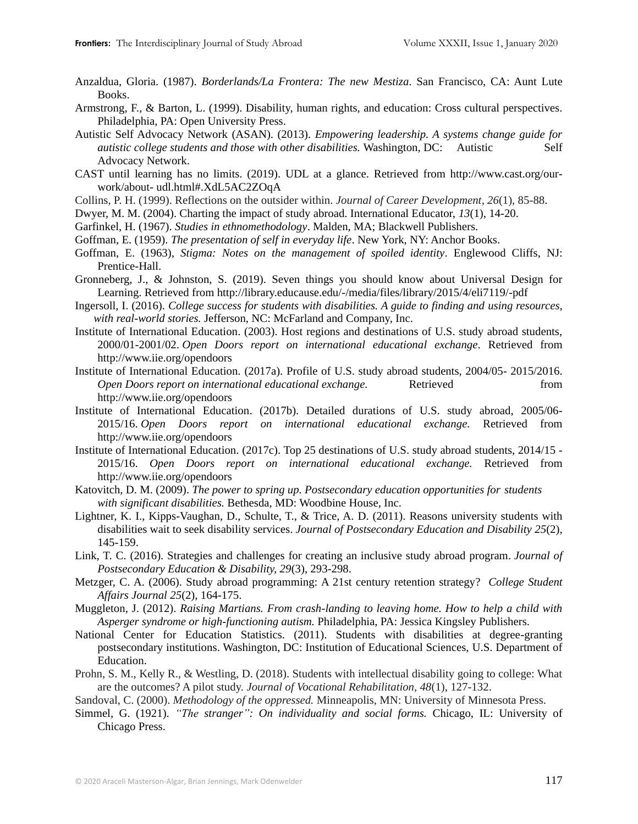- Anzaldua, Gloria. (1987). *Borderlands/La Frontera: The new Mestiza*. San Francisco, CA: Aunt Lute Books.
- Armstrong, F., & Barton, L. (1999). Disability, human rights, and education: Cross cultural perspectives. Philadelphia, PA: Open University Press.
- Autistic Self Advocacy Network (ASAN). (2013). *Empowering leadership. A systems change guide for autistic college students and those with other disabilities.* Washington, DC: Autistic Self Advocacy Network.
- CAST until learning has no limits. (2019). UDL at a glance. Retrieved from http://www.cast.org/ourwork/about- udl.html#.XdL5AC2ZOqA
- Collins, P. H. (1999). Reflections on the outsider within. *Journal of Career Development, 26*(1), 85-88.
- Dwyer, M. M. (2004). Charting the impact of study abroad. International Educator, *13*(1), 14-20.
- Garfinkel, H. (1967). *Studies in ethnomethodology*. Malden, MA; Blackwell Publishers.
- Goffman, E. (1959). *The presentation of self in everyday life*. New York, NY: Anchor Books.
- Goffman, E. (1963), *Stigma: Notes on the management of spoiled identity*. Englewood Cliffs, NJ: Prentice-Hall.
- Gronneberg, J., & Johnston, S. (2019). Seven things you should know about Universal Design for Learning. Retrieved from http://library.educause.edu/-/media/files/library/2015/4/eli7119/-pdf
- Ingersoll, I. (2016). *College success for students with disabilities. A guide to finding and using resources, with real-world stories.* Jefferson, NC: McFarland and Company, Inc.
- Institute of International Education. (2003). Host regions and destinations of U.S. study abroad students, 2000/01-2001/02. *Open Doors report on international educational exchange*. Retrieved from http://www.iie.org/opendoors
- Institute of International Education. (2017a). Profile of U.S. study abroad students, 2004/05- 2015/2016. *Open Doors report on international educational exchange.* Retrieved from http://www.iie.org/opendoors
- Institute of International Education. (2017b). Detailed durations of U.S. study abroad, 2005/06- 2015/16. *Open Doors report on international educational exchange.* Retrieved from http://www.iie.org/opendoors
- Institute of International Education. (2017c). Top 25 destinations of U.S. study abroad students, 2014/15 2015/16. *Open Doors report on international educational exchange.* Retrieved from http://www.iie.org/opendoors
- Katovitch, D. M. (2009). *The power to spring up. Postsecondary education opportunities for students with significant disabilities.* Bethesda, MD: Woodbine House, Inc.
- Lightner, K. I., Kipps-Vaughan, D., Schulte, T., & Trice, A. D. (2011). Reasons university students with disabilities wait to seek disability services. *Journal of Postsecondary Education and Disability 25*(2), 145-159.
- Link, T. C. (2016). Strategies and challenges for creating an inclusive study abroad program*. Journal of Postsecondary Education & Disability, 29*(3), 293-298.
- Metzger, C. A. (2006). Study abroad programming: A 21st century retention strategy? *College Student Affairs Journal 25*(2), 164-175.
- Muggleton, J. (2012). *Raising Martians. From crash-landing to leaving home. How to help a child with Asperger syndrome or high-functioning autism.* Philadelphia, PA: Jessica Kingsley Publishers.
- National Center for Education Statistics. (2011). Students with disabilities at degree-granting postsecondary institutions. Washington, DC: Institution of Educational Sciences, U.S. Department of Education.
- Prohn, S. M., Kelly R., & Westling, D. (2018). Students with intellectual disability going to college: What are the outcomes? A pilot study. *Journal of Vocational Rehabilitation, 48*(1), 127-132.
- Sandoval, C. (2000). *Methodology of the oppressed.* Minneapolis, MN: University of Minnesota Press.
- Simmel, G. (1921). *"The stranger": On individuality and social forms.* Chicago, IL: University of Chicago Press.